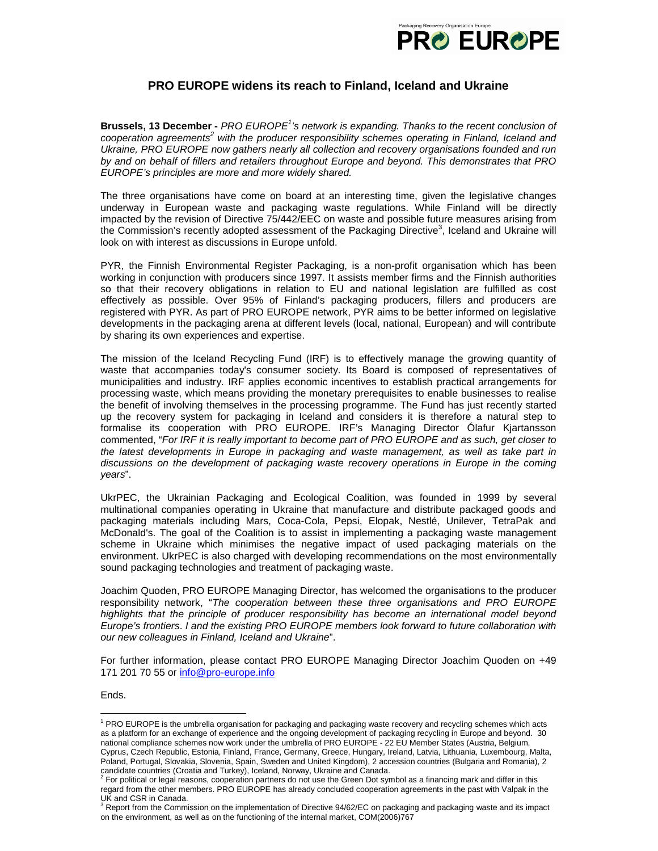

## **PRO EUROPE widens its reach to Finland, Iceland and Ukraine**

Brussels, 13 December - PRO EUROPE<sup>1</sup>'s network is expanding. Thanks to the recent conclusion of cooperation agreements<sup>2</sup> with the producer responsibility schemes operating in Finland, Iceland and Ukraine, PRO EUROPE now gathers nearly all collection and recovery organisations founded and run by and on behalf of fillers and retailers throughout Europe and beyond. This demonstrates that PRO EUROPE's principles are more and more widely shared.

The three organisations have come on board at an interesting time, given the legislative changes underway in European waste and packaging waste regulations. While Finland will be directly impacted by the revision of Directive 75/442/EEC on waste and possible future measures arising from the Commission's recently adopted assessment of the Packaging Directive<sup>3</sup>, Iceland and Ukraine will look on with interest as discussions in Europe unfold.

PYR, the Finnish Environmental Register Packaging, is a non-profit organisation which has been working in conjunction with producers since 1997. It assists member firms and the Finnish authorities so that their recovery obligations in relation to EU and national legislation are fulfilled as cost effectively as possible. Over 95% of Finland's packaging producers, fillers and producers are registered with PYR. As part of PRO EUROPE network, PYR aims to be better informed on legislative developments in the packaging arena at different levels (local, national, European) and will contribute by sharing its own experiences and expertise.

The mission of the Iceland Recycling Fund (IRF) is to effectively manage the growing quantity of waste that accompanies today's consumer society. Its Board is composed of representatives of municipalities and industry. IRF applies economic incentives to establish practical arrangements for processing waste, which means providing the monetary prerequisites to enable businesses to realise the benefit of involving themselves in the processing programme. The Fund has just recently started up the recovery system for packaging in Iceland and considers it is therefore a natural step to formalise its cooperation with PRO EUROPE. IRF's Managing Director Ólafur Kjartansson commented, "For IRF it is really important to become part of PRO EUROPE and as such, get closer to the latest developments in Europe in packaging and waste management, as well as take part in discussions on the development of packaging waste recovery operations in Europe in the coming years".

UkrPEC, the Ukrainian Packaging and Ecological Coalition, was founded in 1999 by several multinational companies operating in Ukraine that manufacture and distribute packaged goods and packaging materials including Mars, Coca-Cola, Pepsi, Elopak, Nestlé, Unilever, TetraPak and McDonald's. The goal of the Coalition is to assist in implementing a packaging waste management scheme in Ukraine which minimises the negative impact of used packaging materials on the environment. UkrPEC is also charged with developing recommendations on the most environmentally sound packaging technologies and treatment of packaging waste.

Joachim Quoden, PRO EUROPE Managing Director, has welcomed the organisations to the producer responsibility network, "The cooperation between these three organisations and PRO EUROPE highlights that the principle of producer responsibility has become an international model beyond Europe's frontiers. I and the existing PRO EUROPE members look forward to future collaboration with our new colleagues in Finland, Iceland and Ukraine".

For further information, please contact PRO EUROPE Managing Director Joachim Quoden on +49 171 201 70 55 or info@pro-europe.info

Ends.

-

<sup>&</sup>lt;sup>1</sup> PRO EUROPE is the umbrella organisation for packaging and packaging waste recovery and recycling schemes which acts as a platform for an exchange of experience and the ongoing development of packaging recycling in Europe and beyond. 30 national compliance schemes now work under the umbrella of PRO EUROPE - 22 EU Member States (Austria, Belgium, Cyprus, Czech Republic, Estonia, Finland, France, Germany, Greece, Hungary, Ireland, Latvia, Lithuania, Luxembourg, Malta, Poland, Portugal, Slovakia, Slovenia, Spain, Sweden and United Kingdom), 2 accession countries (Bulgaria and Romania), 2

candidate countries (Croatia and Turkey), Iceland, Norway, Ukraine and Canada.<br><sup>2</sup> For political or legal reasons, cooperation partners do not use the Green Dot symbol as a financing mark and differ in this

regard from the other members. PRO EUROPE has already concluded cooperation agreements in the past with Valpak in the UK and CSR in Canada.

<sup>&</sup>lt;sup>3</sup> Report from the Commission on the implementation of Directive 94/62/EC on packaging and packaging waste and its impact on the environment, as well as on the functioning of the internal market, COM(2006)767